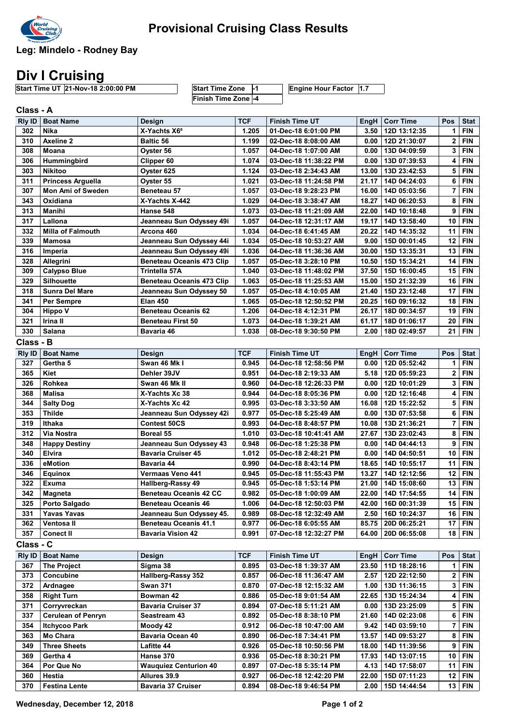

Leg: Mindelo - Rodney Bay

## Div I Cruising

Start Time UT 21-Nov-18 2:00:00 PM Start Time Zone -1 Engine Hour Factor 1.7 Finish Time Zone -4

Rly ID Boat Name Design TCF Finish Time UT EngH Corr Time Pos Stat Class - A 302 Nika X-Yachts X6<sup>5</sup> 1.205 01-Dec-18 6:01:00 PM 3.50 12D 13:12:35 1 FIN 310 Axeline 2 Baltic 56 1.199 02-Dec-18 8:08:00 AM 0.00 12D 21:30:07 2 FIN 308 Moana Oyster 56 1.057 04-Dec-18 1:07:00 AM 0.00 13D 04:09:59 3 FIN 306 Hummingbird Clipper 60 1.074 03-Dec-18 11:38:22 PM 0.00 13D 07:39:53 4 FIN 303 Nikitoo Oyster 625 1.124 03-Dec-18 2:34:43 AM 13.00 13D 23:42:53 5 FIN 311 Princess Arguella Cyster 55 1.021 03-Dec-18 11:24:58 PM 21.17 14D 04:24:03 6 FIN 307 Mon Ami of Sweden Beneteau 57 1.057 03-Dec-18 9:28:23 PM 16.00 14D 05:03:56 7 FIN 343 Oxidiana X-Yachts X-442 1.029 04-Dec-18 3:38:47 AM 18.27 14D 06:20:53 8 FIN 313 Manihi | Hanse 548 | 1.073 | 03-Dec-18 11:21:09 AM | 22.00 | 14D 10:18:48 | 9 | FIN 317 Lallona Jeanneau Sun Odyssey 49i 1.057 04-Dec-18 12:31:17 AM 19.17 14D 13:58:40 10 FIN 332 Milla of Falmouth Arcona 460 Arcona 460 1.034 04-Dec-18 6:41:45 AM 20.22 14D 14:35:32 11 FIN 339 Mamosa Jeanneau Sun Odyssey 44i 1.034 05-Dec-18 10:53:27 AM 1 9.00 15D 00:01:45 12 FIN 316 Imperia Jeanneau Sun Odyssey 49i 1.036 04-Dec-18 11:36:36 AM 30.00 15D 13:35:31 13 FIN 328 Allegrini Beneteau Oceanis 473 Clip 1.057 05-Dec-18 3:28:10 PM 10.50 15D 15:34:21 14 FIN<br>309 Calypso Blue Trintella 57A 1.040 03-Dec-18 11:48:02 PM 37.50 15D 16:00:45 15 FIN 309 Calypso Blue Trintella 57A 1.040 03-Dec-18 11:48:02 PM 37.50 15D 16:00:45 15 FIN 329 Silhouette Beneteau Oceanis 473 Clip | 1.063 05-Dec-18 11:25:53 AM | 15.00 15D 21:32:39 16 FIN 318 Sunra Del Mare Jeanneau Sun Odyssey 50 | 1.057 | 05-Dec-18 4:10:05 AM | 21.40 | 15D 23:12:48 | 17 | FIN 341 Per Sempre Elan 450 Elan 450 20.25 | 1.065 | 05-Dec-18 12:50:52 PM | 20.25 | 16D 09:16:32 | 18 | FIN 304 Hippo V Beneteau Oceanis 62 1.206 04-Dec-18 4:12:31 PM 26.17 18D 00:34:57 19 FIN 321 Irina II Beneteau First 50 1.073 04-Dec-18 1:39:21 AM 61.17 18D 01:06:17 20 FIN 330 Salana Bavaria 46 1.038 08-Dec-18 9:30:50 PM 2.00 18D 02:49:57 21 FIN Rly ID Boat Name Design TCF Finish Time UT EngH Corr Time Pos Stat Class - B 327 Gertha 5 Swan 46 Mk I 0.945 04-Dec-18 12:58:56 PM 0.00 12D 05:52:42 1 FIN 365 Kiet Dehler 39JV 0.951 04-Dec-18 2:19:33 AM 5.18 12D 05:59:23 2 FIN 326 Rohkea Swan 46 Mk II 0.960 04-Dec-18 12:26:33 PM 0.00 12D 10:01:29 3 FIN 368 Malisa X-Yachts Xc 38 0.944 04-Dec-18 8:05:36 PM 0.00 12D 12:16:48 4 FIN 344 Salty Dog X-Yachts Xc 42 0.995 03-Dec-18 3:33:50 AM 16.08 12D 15:22:52 5 FIN 353 Thilde Jeanneau Sun Odyssey 42i 0.977 05-Dec-18 5:25:49 AM 0.00 13D 07:53:58 6 FIN 319 Ithaka Contest 50CS 0.993 04-Dec-18 8:48:57 PM 10.08 13D 21:36:21 7 FIN 312 Via Nostra Boreal 55 1.010 03-Dec-18 10:41:41 AM 27.67 | 13D 23:02:43 8 | FIN 348 | Happy Destiny | Jeanneau Sun Odyssey 43 | 0.948 | 06-Dec-18 1:25:38 PM | 0.00 | 14D 04:44:13 | 9 | FIN 340 Elvira Bavaria Cruiser 45 1.012 | 05-Dec-18 2:48:21 PM 0.00 | 14D 04:50:51 10 | FIN 336 eMotion Bavaria 44 0.990 04-Dec-18 8:43:14 PM 18.65 14D 10:55:17 11 FIN 346 Equinox Vermaas Veno 441 0.945 05-Dec-18 11:55:43 PM 13.27 14D 12:12:56 12 FIN 322 Exuma | Hallberg-Rassy 49 | 0.945 | 05-Dec-18 1:53:14 PM | 21.00 | 14D 15:08:60 | 13 | FIN 342 Magneta Beneteau Oceanis 42 CC 0.982 05-Dec-18 1:00:09 AM 22.00 14D 17:54:55 14 FIN 325 Porto Salgado Beneteau Oceanis 46 1.006 04-Dec-18 12:50:03 PM 42.00 16D 00:31:39 15 FIN 331 Yavas Yavas Jeanneau Sun Odyssey 45. 0.989 08-Dec-18 12:32:49 AM 2.50 16D 10:24:37 16 FIN 362 Ventosa II Beneteau Oceanis 41.1 0.977 06-Dec-18 6:05:55 AM 85.75 20D 06:25:21 17 FIN 357 Conect II Bavaria Vision 42 0.991 07-Dec-18 12:32:27 PM 64.00 20D 06:55:08 18 FIN Rly ID | Boat Name | Design | TCF | Finish Time UT | EngH | Corr Time | Pos | Stat Class - C 367 The Project Sigma 38 0.895 03-Dec-18 1:39:37 AM 23.50 11D 18:28:16 1 FIN 373 Concubine Hallberg-Rassy 352 0.857 06-Dec-18 11:36:47 AM 2.57 12D 22:12:50 2 FIN 372 Ardnagee Swan 371 3. 370 07-Dec-18 12:15:32 AM 1.00 13D 11:36:15 3 FIN 358 Right Turn Bowman 42 0.886 05-Dec-18 9:01:54 AM 22.65 13D 15:24:34 4 FIN 371 Corryvreckan Bavaria Cruiser 37 0.894 07-Dec-18 5:11:21 AM 0.00 13D 23:25:09 5 FIN 337 Cerulean of Penryn Seastream 43 0.892 05-Dec-18 8:38:10 PM 21.60 14D 02:23:08 6 FIN 354 Itchycoo Park Moody 42 0.912 06-Dec-18 10:47:00 AM 9.42 14D 03:59:10 7 FIN 363 Mo Chara Bavaria Ocean 40 0.890 06-Dec-18 7:34:41 PM 13.57 14D 09:53:27 8 FIN 349 Three Sheets Lafitte 44 0.926 05-Dec-18 10:50:56 PM 18.00 14D 11:39:56 9 FIN 369 Gertha 4 Hanse 370 0.936 05-Dec-18 8:30:21 PM 17.93 14D 13:07:15 10 FIN 364 Por Que No Wauquiez Centurion 40 0.897 07-Dec-18 5:35:14 PM 4.13 14D 17:58:07 11 FIN 360 Hestia Allures 39.9 0.927 06-Dec-18 12:42:20 PM 22.00 15D 07:11:23 12 FIN

370 Festina Lente Bavaria 37 Cruiser 0.894 08-Dec-18 9:46:54 PM 2.00 15D 14:44:54 13 FIN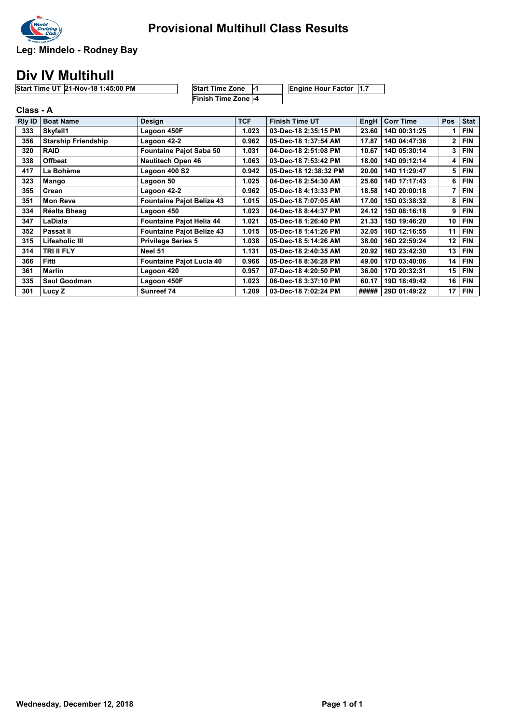

Leg: Mindelo - Rodney Bay

## Div IV Multihull

| <b>Start Time UT 21-Nov-18 1:45:00 PM</b> | <b>Start Time Zone</b>     | Engine Hour Factor 1.7 |
|-------------------------------------------|----------------------------|------------------------|
|                                           | <b>Finish Time Zone -4</b> |                        |

|        | Class - A                  |                                  |            |                       |             |                  |              |             |  |  |
|--------|----------------------------|----------------------------------|------------|-----------------------|-------------|------------------|--------------|-------------|--|--|
| RIy ID | <b>Boat Name</b>           | <b>Design</b>                    | <b>TCF</b> | <b>Finish Time UT</b> | <b>EngH</b> | <b>Corr Time</b> | <b>Pos</b>   | <b>Stat</b> |  |  |
| 333    | Skyfall1                   | Lagoon 450F                      | 1.023      | 03-Dec-18 2:35:15 PM  | 23.60       | 14D 00:31:25     |              | <b>FIN</b>  |  |  |
| 356    | <b>Starship Friendship</b> | Lagoon 42-2                      | 0.962      | 05-Dec-18 1:37:54 AM  | 17.87       | 14D 04:47:36     | $\mathbf{2}$ | <b>FIN</b>  |  |  |
| 320    | <b>RAID</b>                | <b>Fountaine Pajot Saba 50</b>   | 1.031      | 04-Dec-18 2:51:08 PM  | 10.67       | 14D 05:30:14     | 3            | <b>FIN</b>  |  |  |
| 338    | <b>Offbeat</b>             | <b>Nautitech Open 46</b>         | 1.063      | 03-Dec-18 7:53:42 PM  | 18.00       | 14D 09:12:14     | 4            | <b>FIN</b>  |  |  |
| 417    | La Bohème                  | Lagoon 400 S2                    | 0.942      | 05-Dec-18 12:38:32 PM | 20.00       | 14D 11:29:47     | 5            | <b>FIN</b>  |  |  |
| 323    | Mango                      | Lagoon 50                        | 1.025      | 04-Dec-18 2:54:30 AM  | 25.60       | 14D 17:17:43     | 6            | <b>FIN</b>  |  |  |
| 355    | Crean                      | Lagoon 42-2                      | 0.962      | 05-Dec-18 4:13:33 PM  | 18.58       | 14D 20:00:18     | 7            | <b>FIN</b>  |  |  |
| 351    | <b>Mon Reve</b>            | <b>Fountaine Pajot Belize 43</b> | 1.015      | 05-Dec-18 7:07:05 AM  | 17.00       | 15D 03:38:32     | 8            | <b>FIN</b>  |  |  |
| 334    | Réalta Bheag               | Lagoon 450                       | 1.023      | 04-Dec-18 8:44:37 PM  | 24.12       | 15D 08:16:18     | 9            | <b>FIN</b>  |  |  |
| 347    | LaDiala                    | Fountaine Pajot Helia 44         | 1.021      | 05-Dec-18 1:26:40 PM  | 21.33       | 15D 19:46:20     | 10           | <b>FIN</b>  |  |  |
| 352    | Passat II                  | <b>Fountaine Pajot Belize 43</b> | 1.015      | 05-Dec-18 1:41:26 PM  | 32.05       | 16D 12:16:55     | 11           | <b>FIN</b>  |  |  |
| 315    | Lifeaholic III             | <b>Privilege Series 5</b>        | 1.038      | 05-Dec-18 5:14:26 AM  | 38.00       | 16D 22:59:24     | 12           | <b>FIN</b>  |  |  |
| 314    | <b>TRI II FLY</b>          | Neel 51                          | 1.131      | 05-Dec-18 2:40:35 AM  | 20.92       | 16D 23:42:30     | 13           | <b>FIN</b>  |  |  |
| 366    | Fitti                      | <b>Fountaine Pajot Lucia 40</b>  | 0.966      | 05-Dec-18 8:36:28 PM  | 49.00       | 17D 03:40:06     | 14           | <b>FIN</b>  |  |  |
| 361    | Marlin                     | Lagoon 420                       | 0.957      | 07-Dec-18 4:20:50 PM  | 36.00       | 17D 20:32:31     | 15           | <b>FIN</b>  |  |  |
| 335    | <b>Saul Goodman</b>        | Lagoon 450F                      | 1.023      | 06-Dec-18 3:37:10 PM  | 60.17       | 19D 18:49:42     | 16           | <b>FIN</b>  |  |  |
| 301    | Lucy Z                     | Sunreef 74                       | 1.209      | 03-Dec-18 7:02:24 PM  | #####       | 29D 01:49:22     | 17           | <b>FIN</b>  |  |  |